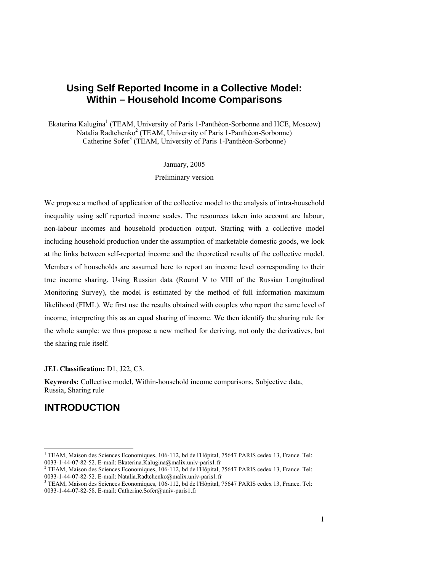# **Using Self Reported Income in a Collective Model: Within – Household Income Comparisons**

Ekaterina Kalugina<sup>1</sup> (TEAM, University of Paris 1-Panthéon-Sorbonne and HCE, Moscow) Natalia Radtchenko<sup>2</sup> (TEAM, University of Paris 1-Panthéon-Sorbonne) Catherine Sofer<sup>3</sup> (TEAM, University of Paris 1-Panthéon-Sorbonne)

January, 2005

Preliminary version

We propose a method of application of the collective model to the analysis of intra-household inequality using self reported income scales. The resources taken into account are labour, non-labour incomes and household production output. Starting with a collective model including household production under the assumption of marketable domestic goods, we look at the links between self-reported income and the theoretical results of the collective model. Members of households are assumed here to report an income level corresponding to their true income sharing. Using Russian data (Round V to VIII of the Russian Longitudinal Monitoring Survey), the model is estimated by the method of full information maximum likelihood (FIML). We first use the results obtained with couples who report the same level of income, interpreting this as an equal sharing of income. We then identify the sharing rule for the whole sample: we thus propose a new method for deriving, not only the derivatives, but the sharing rule itself.

#### **JEL Classification:** D1, J22, C3.

**Keywords:** Collective model, Within-household income comparisons, Subjective data, Russia, Sharing rule

# **INTRODUCTION**

-

<sup>&</sup>lt;sup>1</sup> TEAM, Maison des Sciences Economiques, 106-112, bd de l'Hôpital, 75647 PARIS cedex 13, France. Tel: 0033-1-44-07-82-52. E-mail: Ekaterina.Kalugina@malix.univ-paris1.fr

<sup>&</sup>lt;sup>2</sup> TEAM, Maison des Sciences Economiques, 106-112, bd de l'Hôpital, 75647 PARIS cedex 13, France. Tel: 0033-1-44-07-82-52. E-mail: Natalia.Radtchenko@malix.univ-paris1.fr

<sup>&</sup>lt;sup>3</sup> TEAM, Maison des Sciences Economiques, 106-112, bd de l'Hôpital, 75647 PARIS cedex 13, France. Tel: 0033-1-44-07-82-58. E-mail: Catherine.Sofer@univ-paris1.fr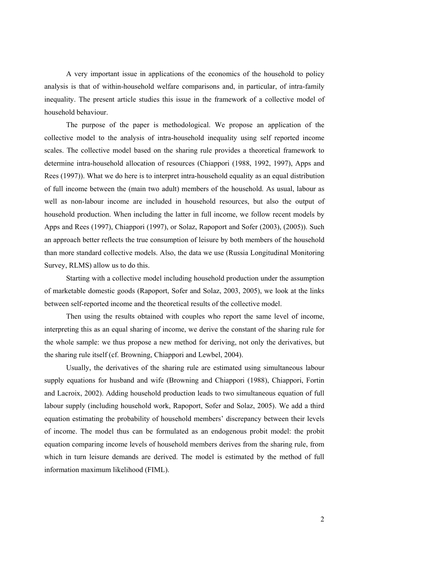A very important issue in applications of the economics of the household to policy analysis is that of within-household welfare comparisons and, in particular, of intra-family inequality. The present article studies this issue in the framework of a collective model of household behaviour.

The purpose of the paper is methodological. We propose an application of the collective model to the analysis of intra-household inequality using self reported income scales. The collective model based on the sharing rule provides a theoretical framework to determine intra-household allocation of resources (Chiappori (1988, 1992, 1997), Apps and Rees (1997)). What we do here is to interpret intra-household equality as an equal distribution of full income between the (main two adult) members of the household. As usual, labour as well as non-labour income are included in household resources, but also the output of household production. When including the latter in full income, we follow recent models by Apps and Rees (1997), Chiappori (1997), or Solaz, Rapoport and Sofer (2003), (2005)). Such an approach better reflects the true consumption of leisure by both members of the household than more standard collective models. Also, the data we use (Russia Longitudinal Monitoring Survey, RLMS) allow us to do this.

Starting with a collective model including household production under the assumption of marketable domestic goods (Rapoport, Sofer and Solaz, 2003, 2005), we look at the links between self-reported income and the theoretical results of the collective model.

Then using the results obtained with couples who report the same level of income, interpreting this as an equal sharing of income, we derive the constant of the sharing rule for the whole sample: we thus propose a new method for deriving, not only the derivatives, but the sharing rule itself (cf. Browning, Chiappori and Lewbel, 2004).

Usually, the derivatives of the sharing rule are estimated using simultaneous labour supply equations for husband and wife (Browning and Chiappori (1988), Chiappori, Fortin and Lacroix, 2002). Adding household production leads to two simultaneous equation of full labour supply (including household work, Rapoport, Sofer and Solaz, 2005). We add a third equation estimating the probability of household members' discrepancy between their levels of income. The model thus can be formulated as an endogenous probit model: the probit equation comparing income levels of household members derives from the sharing rule, from which in turn leisure demands are derived. The model is estimated by the method of full information maximum likelihood (FIML).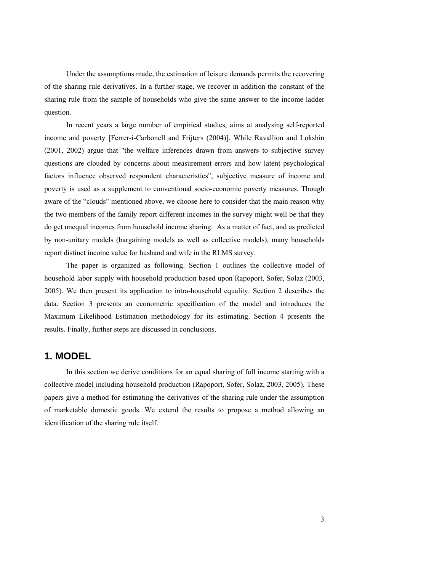Under the assumptions made, the estimation of leisure demands permits the recovering of the sharing rule derivatives. In a further stage, we recover in addition the constant of the sharing rule from the sample of households who give the same answer to the income ladder question.

In recent years a large number of empirical studies, aims at analysing self-reported income and poverty [Ferrer-i-Carbonell and Frijters (2004)]. While Ravallion and Lokshin (2001, 2002) argue that "the welfare inferences drawn from answers to subjective survey questions are clouded by concerns about measurement errors and how latent psychological factors influence observed respondent characteristics", subjective measure of income and poverty is used as a supplement to conventional socio-economic poverty measures. Though aware of the "clouds" mentioned above, we choose here to consider that the main reason why the two members of the family report different incomes in the survey might well be that they do get unequal incomes from household income sharing. As a matter of fact, and as predicted by non-unitary models (bargaining models as well as collective models), many households report distinct income value for husband and wife in the RLMS survey.

The paper is organized as following. Section 1 outlines the collective model of household labor supply with household production based upon Rapoport, Sofer, Solaz (2003, 2005). We then present its application to intra-household equality. Section 2 describes the data. Section 3 presents an econometric specification of the model and introduces the Maximum Likelihood Estimation methodology for its estimating. Section 4 presents the results. Finally, further steps are discussed in conclusions.

## **1. MODEL**

In this section we derive conditions for an equal sharing of full income starting with a collective model including household production (Rapoport, Sofer, Solaz, 2003, 2005). These papers give a method for estimating the derivatives of the sharing rule under the assumption of marketable domestic goods. We extend the results to propose a method allowing an identification of the sharing rule itself.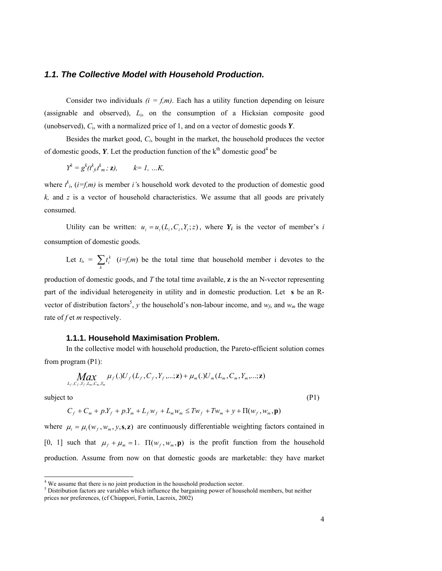#### *1.1. The Collective Model with Household Production.*

Consider two individuals  $(i = f, m)$ . Each has a utility function depending on leisure (assignable and observed), *L*i, on the consumption of a Hicksian composite good (unobserved), *C*i, with a normalized price of 1, and on a vector of domestic goods *Y*.

Besides the market good, *Ci*, bought in the market, the household produces the vector of domestic goods,  $Y$ . Let the production function of the  $k<sup>th</sup>$  domestic good<sup>4</sup> be

$$
Y^k = g^k(t^k_{\beta}t^k_m; z), \qquad k=1, ...K,
$$

where  $t^k$ ,  $(i=f,m)$  is member *i*'s household work devoted to the production of domestic good  $k$ , and  $z$  is a vector of household characteristics. We assume that all goods are privately consumed.

Utility can be written:  $u_i = u_i(L_i, C_i, Y_i; z)$ , where  $Y_i$  is the vector of member's *i* consumption of domestic goods.

Let  $t_i = \sum_k t_i^k$  (*i*=*f,m*) be the total time that household member i devotes to the

production of domestic goods, and *T* the total time available, **z** is the an N-vector representing part of the individual heterogeneity in utility and in domestic production. Let **s** be an Rvector of distribution factors<sup>5</sup>, *y* the household's non-labour income, and  $w_f$ , and  $w_m$  the wage rate of *f* et *m* respectively.

### **1.1.1. Household Maximisation Problem.**

In the collective model with household production, the Pareto-efficient solution comes from program (P1):

$$
\underset{L_f, C_f, Y_f, L_m, C_m, Y_m}{\text{Max}} \mu_f(.)U_f(L_f, C_f, Y_f, \ldots; \mathbf{z}) + \mu_m(.)U_m(L_m, C_m, Y_m, \ldots; \mathbf{z})
$$

subject to  $(P1)$ 

$$
C_f + C_m + p.Y_f + p.Y_m + L_f w_f + L_m w_m \le Tw_f + Tw_m + y + \Pi(w_f, w_m, \mathbf{p})
$$

where  $\mu_i = \mu_i(w_f, w_m, y, \mathbf{s}, \mathbf{z})$  are continuously differentiable weighting factors contained in [0, 1] such that  $\mu_f + \mu_m = 1$ .  $\Pi(w_f, w_m, \mathbf{p})$  is the profit function from the household production. Assume from now on that domestic goods are marketable: they have market

 4 We assume that there is no joint production in the household production sector.

 $<sup>5</sup>$  Distribution factors are variables which influence the bargaining power of household members, but neither</sup> prices nor preferences, (cf Chiappori, Fortin, Lacroix, 2002)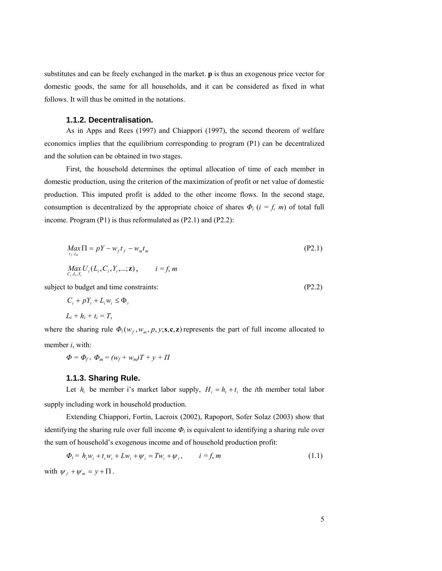substitutes and can be freely exchanged in the market. **p** is thus an exogenous price vector for domestic goods, the same for all households, and it can be considered as fixed in what follows. It will thus be omitted in the notations.

### **1.1.2. Decentralisation.**

As in Apps and Rees (1997) and Chiappori (1997), the second theorem of welfare economics implies that the equilibrium corresponding to program (P1) can be decentralized and the solution can be obtained in two stages.

First, the household determines the optimal allocation of time of each member in domestic production, using the criterion of the maximization of profit or net value of domestic production. This imputed profit is added to the other income flows. In the second stage, consumption is decentralized by the appropriate choice of shares  $\Phi$ <sup>*i*</sup> ( $i = f$ , *m*) of total full income. Program (P1) is thus reformulated as (P2.1) and (P2.2):

$$
Max_{t_f, t_m} \Pi = pY - w_f t_f - w_m t_m
$$
  
\n
$$
Max_{C_i, L_i, Y_i} U_i (L_i, C_i, Y_i, \dots; \mathbf{z}), \qquad i = f, m
$$
  
\n(P2.1)

subject to budget and time constraints: (P2.2)

$$
C_i + pY_i + L_i w_i \le \Phi_i
$$
  

$$
L_i + h_i + t_i = T,
$$

where the sharing rule  $\Phi_i(w_f, w_m, p, y; \mathbf{s}, \mathbf{c}, \mathbf{z})$  represents the part of full income allocated to member *i*, with:

 $\Phi = \Phi_{f+} \Phi_m = (w_f + w_m)T + y + \Pi$ 

#### **1.1.3. Sharing Rule.**

Let  $h_i$  be member i's market labor supply,  $H_i = h_i + t_i$  the *i*th member total labor supply including work in household production.

Extending Chiappori, Fortin, Lacroix (2002), Rapoport, Sofer Solaz (2003) show that identifying the sharing rule over full income  $\Phi_i$  is equivalent to identifying a sharing rule over the sum of household's exogenous income and of household production profit:

$$
\Phi_i = h_i w_i + t_i w_i + L w_i + \psi_i = T w_i + \psi_i, \qquad i = f, m
$$
\n
$$
\text{with } \psi_f + \psi_m = y + \Pi. \tag{1.1}
$$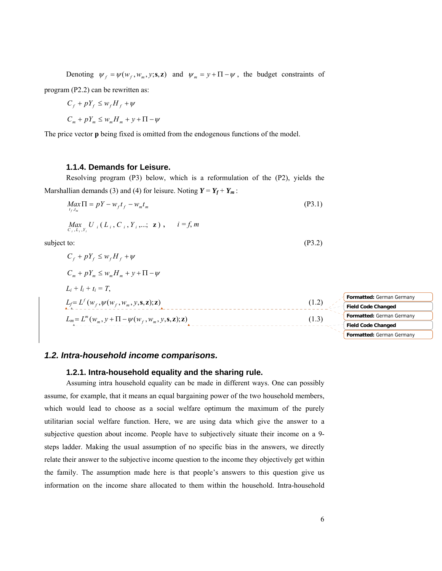Denoting  $\psi_f = \psi(w_f, w_m, y; \mathbf{s}, \mathbf{z})$  and  $\psi_m = y + \Pi - \psi$ , the budget constraints of program (P2.2) can be rewritten as:

$$
C_f + pY_f \le w_f H_f + \psi
$$
  

$$
C_m + pY_m \le w_m H_m + y + \Pi - \psi
$$

The price vector **p** being fixed is omitted from the endogenous functions of the model.

### **1.1.4. Demands for Leisure.**

Resolving program (P3) below, which is a reformulation of the (P2), yields the Marshallian demands (3) and (4) for leisure. Noting  $Y = Y_f + Y_m$ :

$$
\underset{t_f, t_m}{Max} \Pi = pY - w_f t_f - w_m t_m \tag{P3.1}
$$

$$
\underset{C_i, L_i, Y_i}{Max} U_i (L_i, C_i, Y_i, \dots; z), \quad i = f, m
$$

subject to: (P3.2)

$$
C_f + pY_f \le w_f H_f + \psi
$$
  
\n
$$
C_m + pY_m \le w_m H_m + y + \Pi - \psi
$$
  
\n
$$
L_i + l_i + t_i = T,
$$
  
\n
$$
L_f = L^f(w_f, \psi(w_f, w_m, y, \mathbf{s}, \mathbf{z}); \mathbf{z})
$$
  
\n
$$
L_m = L^m(w_m, y + \Pi - \psi(w_f, w_m, y, \mathbf{s}, \mathbf{z}); \mathbf{z})
$$
  
\n
$$
L_m = L^m(w_m, y + \Pi - \psi(w_f, w_m, y, \mathbf{s}, \mathbf{z}); \mathbf{z})
$$
  
\n
$$
(1.2)
$$
  
\n
$$
L_m = L^m(w_m, y + \Pi - \psi(w_f, w_m, y, \mathbf{s}, \mathbf{z}); \mathbf{z})
$$
  
\n
$$
(1.3)
$$
  
\n
$$
Formatted: German Germany
$$
  
\n
$$
Fermatted: German Germany
$$
  
\n
$$
Fermatted: German Germany
$$

## *1.2. Intra-household income comparisons.*

#### **1.2.1. Intra-household equality and the sharing rule.**

Assuming intra household equality can be made in different ways. One can possibly assume, for example, that it means an equal bargaining power of the two household members, which would lead to choose as a social welfare optimum the maximum of the purely utilitarian social welfare function. Here, we are using data which give the answer to a subjective question about income. People have to subjectively situate their income on a 9 steps ladder. Making the usual assumption of no specific bias in the answers, we directly relate their answer to the subjective income question to the income they objectively get within the family. The assumption made here is that people's answers to this question give us information on the income share allocated to them within the household. Intra-household **Formatted:** German Germany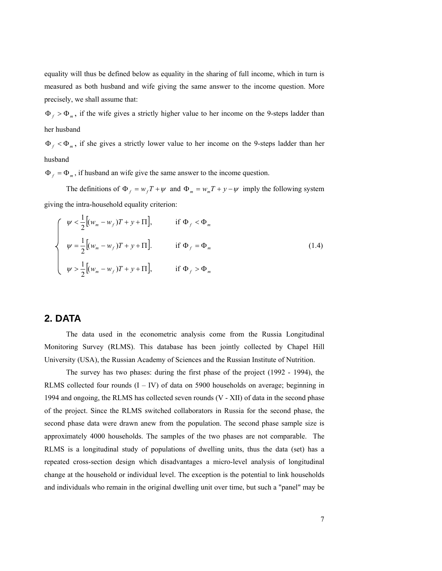equality will thus be defined below as equality in the sharing of full income, which in turn is measured as both husband and wife giving the same answer to the income question. More precisely, we shall assume that:

 $\Phi_f > \Phi_m$ , if the wife gives a strictly higher value to her income on the 9-steps ladder than her husband

Φ *<sup>f</sup>* < Φ*<sup>m</sup>* , if she gives a strictly lower value to her income on the 9-steps ladder than her husband

 $\Phi_f = \Phi_m$ , if husband an wife give the same answer to the income question.

The definitions of  $\Phi_f = w_f T + \psi$  and  $\Phi_m = w_m T + y - \psi$  imply the following system giving the intra-household equality criterion:

$$
\begin{cases}\n\psi < \frac{1}{2} \left[ (w_m - w_f) T + y + \Pi \right], & \text{if } \Phi_f < \Phi_m \\
\psi & = \frac{1}{2} \left[ (w_m - w_f) T + y + \Pi \right]. & \text{if } \Phi_f = \Phi_m\n\end{cases}\n\tag{1.4}
$$
\n
$$
\psi > \frac{1}{2} \left[ (w_m - w_f) T + y + \Pi \right], \quad \text{if } \Phi_f > \Phi_m
$$

# **2. DATA**

The data used in the econometric analysis come from the Russia Longitudinal Monitoring Survey (RLMS). This database has been jointly collected by Chapel Hill University (USA), the Russian Academy of Sciences and the Russian Institute of Nutrition.

The survey has two phases: during the first phase of the project (1992 - 1994), the RLMS collected four rounds  $(I - IV)$  of data on 5900 households on average; beginning in 1994 and ongoing, the RLMS has collected seven rounds (V - XII) of data in the second phase of the project. Since the RLMS switched collaborators in Russia for the second phase, the second phase data were drawn anew from the population. The second phase sample size is approximately 4000 households. The samples of the two phases are not comparable. The RLMS is a longitudinal study of populations of dwelling units, thus the data (set) has a repeated cross-section design which disadvantages a micro-level analysis of longitudinal change at the household or individual level. The exception is the potential to link households and individuals who remain in the original dwelling unit over time, but such a "panel" may be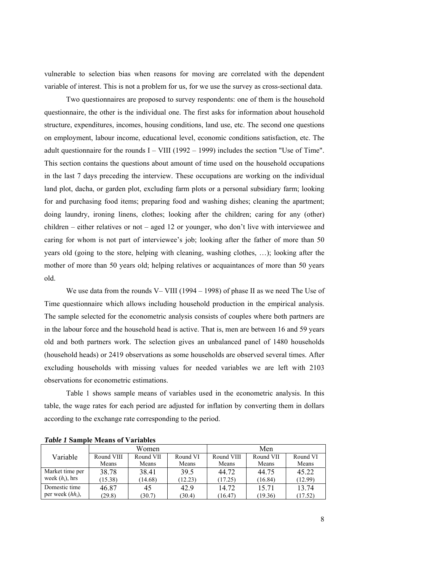vulnerable to selection bias when reasons for moving are correlated with the dependent variable of interest. This is not a problem for us, for we use the survey as cross-sectional data.

Two questionnaires are proposed to survey respondents: one of them is the household questionnaire, the other is the individual one. The first asks for information about household structure, expenditures, incomes, housing conditions, land use, etc. The second one questions on employment, labour income, educational level, economic conditions satisfaction, etc. The adult questionnaire for the rounds  $I - VIII$  (1992 – 1999) includes the section "Use of Time". This section contains the questions about amount of time used on the household occupations in the last 7 days preceding the interview. These occupations are working on the individual land plot, dacha, or garden plot, excluding farm plots or a personal subsidiary farm; looking for and purchasing food items; preparing food and washing dishes; cleaning the apartment; doing laundry, ironing linens, clothes; looking after the children; caring for any (other) children – either relatives or not – aged 12 or younger, who don't live with interviewee and caring for whom is not part of interviewee's job; looking after the father of more than 50 years old (going to the store, helping with cleaning, washing clothes, …); looking after the mother of more than 50 years old; helping relatives or acquaintances of more than 50 years old.

 We use data from the rounds V– VIII (1994 – 1998) of phase II as we need The Use of Time questionnaire which allows including household production in the empirical analysis. The sample selected for the econometric analysis consists of couples where both partners are in the labour force and the household head is active. That is, men are between 16 and 59 years old and both partners work. The selection gives an unbalanced panel of 1480 households (household heads) or 2419 observations as some households are observed several times. After excluding households with missing values for needed variables we are left with 2103 observations for econometric estimations.

Table 1 shows sample means of variables used in the econometric analysis. In this table, the wage rates for each period are adjusted for inflation by converting them in dollars according to the exchange rate corresponding to the period.

|                     | Women      |           |          | Men        |           |          |
|---------------------|------------|-----------|----------|------------|-----------|----------|
| Variable            | Round VIII | Round VII | Round VI | Round VIII | Round VII | Round VI |
|                     | Means      | Means     | Means    | Means      | Means     | Means    |
| Market time per     | 38.78      | 38.41     | 39.5     | 44.72      | 44.75     | 45.22    |
| week $(h_i)$ , hrs  | (15.38)    | (14.68)   | (12.23)  | (17.25)    | (16.84)   | (12.99)  |
| Domestic time       | 46.87      | 45        | 42.9     | 14.72      | 15.71     | 13.74    |
| per week $(hh_i)$ , | (29.8)     | (30.7)    | (30.4)   | (16.47)    | (19.36)   | (17.52)  |

*Table 1* **Sample Means of Variables**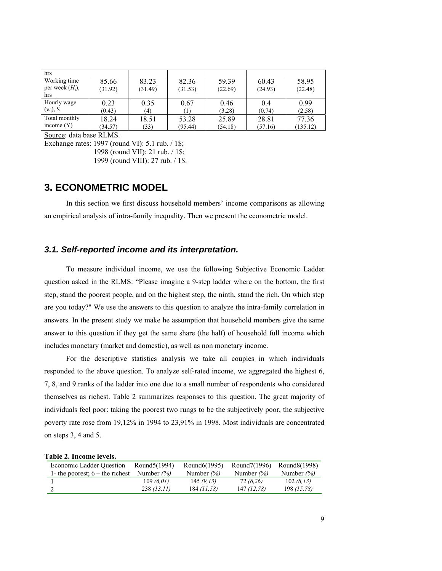| hrs                |         |         |          |         |         |          |
|--------------------|---------|---------|----------|---------|---------|----------|
| Working time       | 85.66   | 83.23   | 82.36    | 59.39   | 60.43   | 58.95    |
| per week $(H_i)$ , | (31.92) | (31.49) | (31.53)  | (22.69) | (24.93) | (22.48)  |
| hrs                |         |         |          |         |         |          |
| Hourly wage        | 0.23    | 0.35    | 0.67     | 0.46    | 0.4     | 0.99     |
| $(w_i)$ , \$       | (0.43)  | (4)     | $^{(1)}$ | (3.28)  | (0.74)  | (2.58)   |
| Total monthly      | 18.24   | 18.51   | 53.28    | 25.89   | 28.81   | 77.36    |
| income $(Y)$       | (34.57) | (33)    | (95.44)  | (54.18) | (57.16) | (135.12) |

Source: data base RLMS.

Exchange rates: 1997 (round VI): 5.1 rub. / 1\$;

1998 (round VII): 21 rub. / 1\$;

1999 (round VIII): 27 rub. / 1\$.

# **3. ECONOMETRIC MODEL**

In this section we first discuss household members' income comparisons as allowing an empirical analysis of intra-family inequality. Then we present the econometric model.

## *3.1. Self-reported income and its interpretation.*

To measure individual income, we use the following Subjective Economic Ladder question asked in the RLMS: "Please imagine a 9-step ladder where on the bottom, the first step, stand the poorest people, and on the highest step, the ninth, stand the rich. On which step are you today?" We use the answers to this question to analyze the intra-family correlation in answers. In the present study we make he assumption that household members give the same answer to this question if they get the same share (the half) of household full income which includes monetary (market and domestic), as well as non monetary income.

 For the descriptive statistics analysis we take all couples in which individuals responded to the above question. To analyze self-rated income, we aggregated the highest 6, 7, 8, and 9 ranks of the ladder into one due to a small number of respondents who considered themselves as richest. Table 2 summarizes responses to this question. The great majority of individuals feel poor: taking the poorest two rungs to be the subjectively poor, the subjective poverty rate rose from 19,12% in 1994 to 23,91% in 1998. Most individuals are concentrated on steps 3, 4 and 5.

| <b>Economic Ladder Ouestion</b>   | Round 5 (1994)         | Round <sub>6</sub> (1995) | Round7(1996) | Round8(1998) |
|-----------------------------------|------------------------|---------------------------|--------------|--------------|
| 1- the poorest; $6$ – the richest | Number $\frac{\%}{\%}$ | Number $\frac{\%}{\%}$    | Number $(%)$ | Number $(%)$ |
|                                   | 109(6.01)              | 145(9.13)                 | 72 (6,26)    | 102(8.13)    |
|                                   | 238(13,11)             | 184 (11.58)               | 147 (12.78)  | 198 (15,78)  |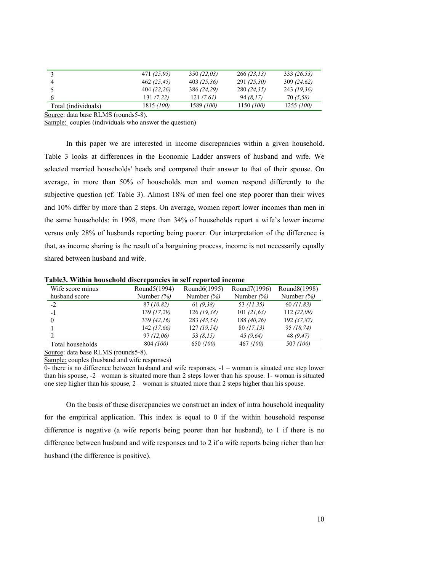|                     | 471 (25,95) | 350(22,03)  | 266(23,13)  | 333 (26.53) |
|---------------------|-------------|-------------|-------------|-------------|
|                     | 462 (25,45) | 403(25,36)  | 291(25,30)  | 309(24,62)  |
|                     | 404(22,26)  | 386 (24,29) | 280 (24.35) | 243 (19.36) |
|                     | 131(7,22)   | 121 (7.61)  | 94 (8.17)   | 70 (5,58)   |
| Total (individuals) | 1815 (100)  | 1589 (100)  | 1150 (100)  | 1255(100)   |

Source: data base RLMS (rounds5-8).

Sample: couples (individuals who answer the question)

In this paper we are interested in income discrepancies within a given household. Table 3 looks at differences in the Economic Ladder answers of husband and wife. We selected married households' heads and compared their answer to that of their spouse. On average, in more than 50% of households men and women respond differently to the subjective question (cf. Table 3). Almost 18% of men feel one step poorer than their wives and 10% differ by more than 2 steps. On average, women report lower incomes than men in the same households: in 1998, more than 34% of households report a wife's lower income versus only 28% of husbands reporting being poorer. Our interpretation of the difference is that, as income sharing is the result of a bargaining process, income is not necessarily equally shared between husband and wife.

**Table3. Within household discrepancies in self reported income** 

| Wife score minus | Round5(1994)           | Round6(1995)           | Round7(1996)  | Round8(1998) |
|------------------|------------------------|------------------------|---------------|--------------|
| husband score    | Number $\frac{\%}{\%}$ | Number $\frac{\%}{\%}$ | Number $(\%)$ | Number $(%)$ |
| $-2$             | 87 (10,82)             | 61(9,38)               | 53 (11,35)    | 60(11,83)    |
| -1               | 139 (17,29)            | 126(19,38)             | 101(21,63)    | 112(22,09)   |
| 0                | 339(42,16)             | 283 (43,54)            | 188 (40,26)   | 192 (37,87)  |
|                  | 142 (17,66)            | 127(19,54)             | 80(17,13)     | 95 (18,74)   |
| ∍                | 97(12,06)              | 53 (8.15)              | 45(9,64)      | 48 (9.47)    |
| Total households | 804 (100)              | 650 (100)              | 467 (100)     | 507 (100)    |

Source: data base RLMS (rounds5-8).

Sample: couples (husband and wife responses)

0- there is no difference between husband and wife responses. -1 – woman is situated one step lower than his spouse, -2 –woman is situated more than 2 steps lower than his spouse. 1- woman is situated one step higher than his spouse, 2 – woman is situated more than 2 steps higher than his spouse.

On the basis of these discrepancies we construct an index of intra household inequality for the empirical application. This index is equal to 0 if the within household response difference is negative (a wife reports being poorer than her husband), to 1 if there is no difference between husband and wife responses and to 2 if a wife reports being richer than her husband (the difference is positive).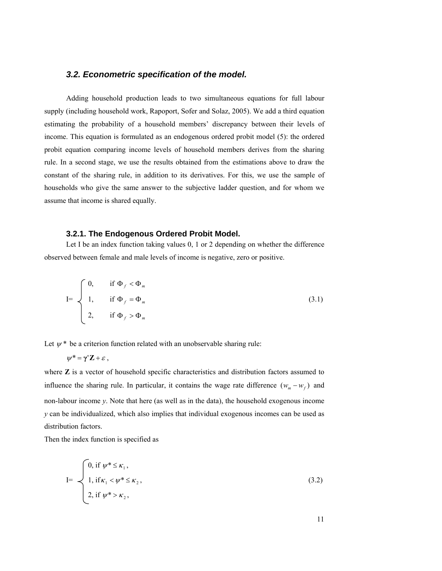## *3.2. Econometric specification of the model.*

Adding household production leads to two simultaneous equations for full labour supply (including household work, Rapoport, Sofer and Solaz, 2005). We add a third equation estimating the probability of a household members' discrepancy between their levels of income. This equation is formulated as an endogenous ordered probit model (5): the ordered probit equation comparing income levels of household members derives from the sharing rule. In a second stage, we use the results obtained from the estimations above to draw the constant of the sharing rule, in addition to its derivatives. For this, we use the sample of households who give the same answer to the subjective ladder question, and for whom we assume that income is shared equally.

### **3.2.1. The Endogenous Ordered Probit Model.**

Let I be an index function taking values 0, 1 or 2 depending on whether the difference observed between female and male levels of income is negative, zero or positive.

$$
I = \begin{cases} 0, & \text{if } \Phi_f < \Phi_m \\ 1, & \text{if } \Phi_f = \Phi_m \\ 2, & \text{if } \Phi_f > \Phi_m \end{cases} \tag{3.1}
$$

Let  $\psi^*$  be a criterion function related with an unobservable sharing rule:

$$
\psi^* = \gamma' \mathbf{Z} + \varepsilon \ ,
$$

where **Z** is a vector of household specific characteristics and distribution factors assumed to influence the sharing rule. In particular, it contains the wage rate difference  $(w_m - w_f)$  and non-labour income *y*. Note that here (as well as in the data), the household exogenous income *y* can be individualized, which also implies that individual exogenous incomes can be used as distribution factors.

Then the index function is specified as

$$
I = \begin{cases} 0, & \text{if } \psi^* \leq \kappa_1, \\ 1, & \text{if } \kappa_1 < \psi^* \leq \kappa_2, \\ 2, & \text{if } \psi^* > \kappa_2, \end{cases}
$$
(3.2)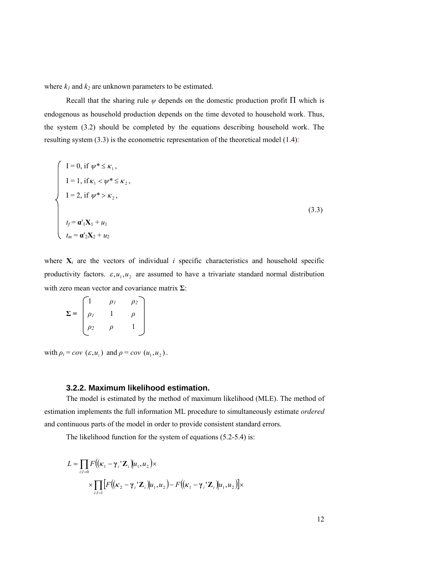where  $k_1$  and  $k_2$  are unknown parameters to be estimated.

Recall that the sharing rule  $\psi$  depends on the domestic production profit  $\Pi$  which is endogenous as household production depends on the time devoted to household work. Thus, the system (3.2) should be completed by the equations describing household work. The resulting system (3.3) is the econometric representation of the theoretical model (1.4):

$$
\begin{cases}\nI = 0, \text{ if } \psi^* \le \kappa_1, \\
I = 1, \text{ if } \kappa_1 < \psi^* \le \kappa_2, \\
I = 2, \text{ if } \psi^* > \kappa_2, \\
t_f = \mathbf{a}^{\mathsf{T}}_1 \mathbf{X}_1 + u_1 \\
t_m = \mathbf{a}^{\mathsf{T}}_2 \mathbf{X}_2 + u_2\n\end{cases} \tag{3.3}
$$

where  $X_i$  are the vectors of individual *i* specific characteristics and household specific productivity factors.  $\varepsilon, u_1, u_2$  are assumed to have a trivariate standard normal distribution with zero mean vector and covariance matrix **Σ**:

|            |          | $\rho_l$ | $\rho_2$ |
|------------|----------|----------|----------|
| $\Sigma =$ | $\rho_l$ |          |          |
|            | $\rho_2$ |          |          |
|            |          |          |          |

with  $\rho_i = cov(\varepsilon, u_i)$  and  $\rho = cov(u_1, u_2)$ .

#### **3.2.2. Maximum likelihood estimation.**

The model is estimated by the method of maximum likelihood (MLE). The method of estimation implements the full information ML procedure to simultaneously estimate *ordered*  and continuous parts of the model in order to provide consistent standard errors.

The likelihood function for the system of equations (5.2-5.4) is:

$$
L = \prod_{i: I=0} F((\kappa_1 - \gamma_i' \mathbf{Z}_i)u_1, u_2) \times
$$
  
 
$$
\times \prod_{i: I=1} [F((\kappa_2 - \gamma_i' \mathbf{Z}_i)u_1, u_2) - F((\kappa_1 - \gamma_i' \mathbf{Z}_i)u_1, u_2)] \times
$$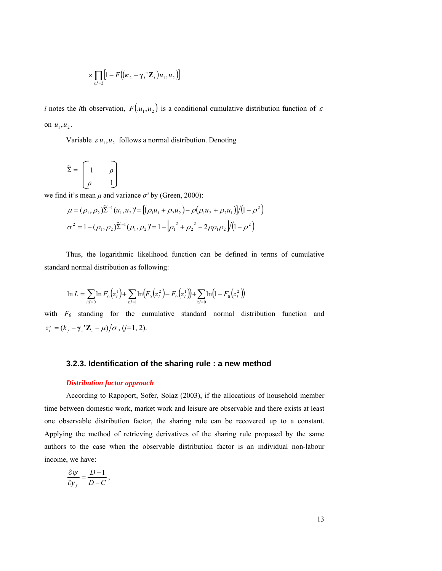$$
\times \prod_{i: I=2} [1 - F((\kappa_2 - \gamma_i' \mathbf{Z}_i) | u_1, u_2)]
$$

*i* notes the *i*th observation,  $F(|u_1, u_2|)$  is a conditional cumulative distribution function of  $\varepsilon$ on  $u_1, u_2$ .

Variable  $\varepsilon | u_1, u_2|$  follows a normal distribution. Denoting

$$
\widetilde{\Sigma} = \begin{bmatrix} 1 & \rho \\ \rho & 1 \end{bmatrix}
$$

we find it's mean  $\mu$  and variance  $\sigma^2$  by (Green, 2000):

$$
\mu = (\rho_1, \rho_2) \tilde{\Sigma}^{-1} (u_1, u_2) = [(\rho_1 u_1 + \rho_2 u_2) - \rho (\rho_1 u_2 + \rho_2 u_1)] / (1 - \rho^2)
$$
  

$$
\sigma^2 = 1 - (\rho_1, \rho_2) \tilde{\Sigma}^{-1} (\rho_1, \rho_2) = 1 - [\rho_1^2 + \rho_2^2 - 2\rho \rho_1 \rho_2] / (1 - \rho^2)
$$

Thus, the logarithmic likelihood function can be defined in terms of cumulative standard normal distribution as following:

$$
\ln L = \sum_{i,l=0} \ln F_0(z_i^1) + \sum_{i,l=1} \ln (F_0(z_i^2) - F_0(z_i^1)) + \sum_{i,l=0} \ln (1 - F_0(z_i^2))
$$

with *F0* standing for the cumulative standard normal distribution function and  $z_i^j = (k_i - \gamma_i' \mathbf{Z}_i - \mu) / \sigma$ , (*j*=1, 2).

#### **3.2.3. Identification of the sharing rule : a new method**

#### *Distribution factor approach*

According to Rapoport, Sofer, Solaz (2003), if the allocations of household member time between domestic work, market work and leisure are observable and there exists at least one observable distribution factor, the sharing rule can be recovered up to a constant. Applying the method of retrieving derivatives of the sharing rule proposed by the same authors to the case when the observable distribution factor is an individual non-labour income, we have:

$$
\frac{\partial \psi}{\partial y_f} = \frac{D-1}{D-C},
$$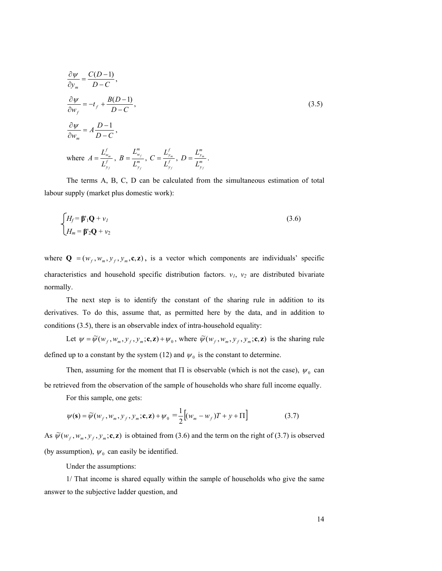$$
\frac{\partial \psi}{\partial y_m} = \frac{C(D-1)}{D-C},
$$
\n
$$
\frac{\partial \psi}{\partial w_f} = -t_f + \frac{B(D-1)}{D-C},
$$
\n
$$
\frac{\partial \psi}{\partial w_m} = A \frac{D-1}{D-C},
$$
\nwhere  $A = \frac{L_{w_m}^f}{L_{y_f}^f}, B = \frac{L_{w_f}^m}{L_{y_f}^m}, C = \frac{L_{y_m}^f}{L_{y_f}^f}, D = \frac{L_{y_m}^m}{L_{y_f}^m}.$ \n
$$
(3.5)
$$

The terms A, B, C, D can be calculated from the simultaneous estimation of total labour supply (market plus domestic work):

$$
\begin{cases}\nH_f = \mathbf{\beta}'_1 \mathbf{Q} + \mathbf{v}_I \\
H_m = \mathbf{\beta}'_2 \mathbf{Q} + \mathbf{v}_2\n\end{cases}
$$
\n(3.6)

where  $\mathbf{Q} = (w_f, w_m, y_f, y_m, \mathbf{c}, \mathbf{z})$ , is a vector which components are individuals' specific characteristics and household specific distribution factors.  $v_1$ ,  $v_2$  are distributed bivariate normally.

The next step is to identify the constant of the sharing rule in addition to its derivatives. To do this, assume that, as permitted here by the data, and in addition to conditions (3.5), there is an observable index of intra-household equality:

Let  $\psi = \widetilde{\psi}(w_f, w_m, y_f, y_m; \mathbf{c}, \mathbf{z}) + \psi_0$ , where  $\widetilde{\psi}(w_f, w_m, y_f, y_m; \mathbf{c}, \mathbf{z})$  is the sharing rule defined up to a constant by the system (12) and  $\psi_0$  is the constant to determine.

Then, assuming for the moment that  $\Pi$  is observable (which is not the case),  $\psi_0$  can be retrieved from the observation of the sample of households who share full income equally.

For this sample, one gets:

$$
\psi(\mathbf{s}) = \widetilde{\psi}(w_f, w_m, y_f, y_m; \mathbf{c}, \mathbf{z}) + \psi_0 = \frac{1}{2} \big[ (w_m - w_f)T + y + \Pi \big] \tag{3.7}
$$

As  $\widetilde{\psi}(w_f, w_m, y_f, y_m; \mathbf{c}, \mathbf{z})$  is obtained from (3.6) and the term on the right of (3.7) is observed (by assumption),  $\psi_0$  can easily be identified.

Under the assumptions:

1/ That income is shared equally within the sample of households who give the same answer to the subjective ladder question, and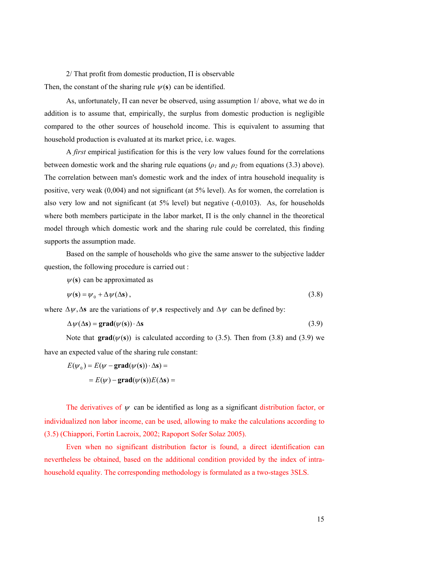$2/$  That profit from domestic production,  $\Pi$  is observable Then, the constant of the sharing rule  $\psi(s)$  can be identified.

As, unfortunately, Π can never be observed, using assumption 1/ above, what we do in addition is to assume that, empirically, the surplus from domestic production is negligible compared to the other sources of household income. This is equivalent to assuming that household production is evaluated at its market price, i.e. wages.

A *first* empirical justification for this is the very low values found for the correlations between domestic work and the sharing rule equations ( $\rho_1$  and  $\rho_2$  from equations (3.3) above). The correlation between man's domestic work and the index of intra household inequality is positive, very weak (0,004) and not significant (at 5% level). As for women, the correlation is also very low and not significant (at 5% level) but negative (-0,0103). As, for households where both members participate in the labor market, Π is the only channel in the theoretical model through which domestic work and the sharing rule could be correlated, this finding supports the assumption made.

Based on the sample of households who give the same answer to the subjective ladder question, the following procedure is carried out :

 $\psi$ (s) can be approximated as

$$
\psi(\mathbf{s}) = \psi_0 + \Delta \psi(\Delta \mathbf{s}),\tag{3.8}
$$

where  $\Delta \psi$ ,  $\Delta s$  are the variations of  $\psi$ , s respectively and  $\Delta \psi$  can be defined by:

$$
\Delta \psi(\Delta s) = \text{grad}(\psi(s)) \cdot \Delta s \tag{3.9}
$$

Note that  $grad(\psi(s))$  is calculated according to (3.5). Then from (3.8) and (3.9) we have an expected value of the sharing rule constant:

$$
E(\psi_0) = E(\psi - \mathbf{grad}(\psi(s)) \cdot \Delta s) =
$$

$$
= E(\psi) - \mathbf{grad}(\psi(s))E(\Delta s)
$$

The derivatives of  $\psi$  can be identified as long as a significant distribution factor, or individualized non labor income, can be used, allowing to make the calculations according to (3.5) (Chiappori, Fortin Lacroix, 2002; Rapoport Sofer Solaz 2005).

Even when no significant distribution factor is found, a direct identification can nevertheless be obtained, based on the additional condition provided by the index of intrahousehold equality. The corresponding methodology is formulated as a two-stages 3SLS.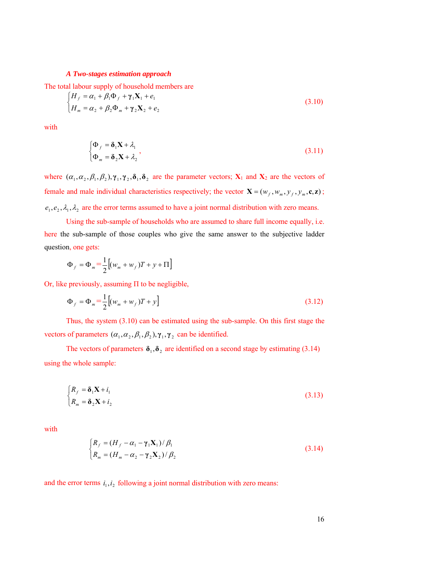#### *A Two-stages estimation approach*

The total labour supply of household members are

$$
\begin{cases}\nH_f = \alpha_1 + \beta_1 \Phi_f + \gamma_1 \mathbf{X}_1 + e_1 \\
H_m = \alpha_2 + \beta_2 \Phi_m + \gamma_2 \mathbf{X}_2 + e_2\n\end{cases}
$$
\n(3.10)

with

$$
\begin{cases} \Phi_f = \delta_1 \mathbf{X} + \lambda_1 \\ \Phi_m = \delta_2 \mathbf{X} + \lambda_2 \end{cases}
$$
\n(3.11)

where  $(\alpha_1, \alpha_2, \beta_1, \beta_2), \gamma_1, \gamma_2, \delta_1, \delta_2$  are the parameter vectors;  $X_1$  and  $X_2$  are the vectors of female and male individual characteristics respectively; the vector  $\mathbf{X} = (w_f, w_m, y_f, y_m, \mathbf{c}, \mathbf{z})$ ;  $e_1, e_2, \lambda_1, \lambda_2$  are the error terms assumed to have a joint normal distribution with zero means.

Using the sub-sample of households who are assumed to share full income equally, i.e. here the sub-sample of those couples who give the same answer to the subjective ladder question, one gets:

$$
\Phi_f = \Phi_m = \frac{1}{2} \Big[ (w_m + w_f) T + y + \Pi \Big]
$$

Or, like previously, assuming  $\Pi$  to be negligible,

$$
\Phi_f = \Phi_m = \frac{1}{2} \left[ (w_m + w_f) T + y \right] \tag{3.12}
$$

Thus, the system (3.10) can be estimated using the sub-sample. On this first stage the vectors of parameters  $(\alpha_1, \alpha_2, \beta_1, \beta_2), \gamma_1, \gamma_2$  can be identified.

The vectors of parameters  $\delta_1, \delta_2$  are identified on a second stage by estimating (3.14) using the whole sample:

$$
\begin{cases} R_f = \delta_1 \mathbf{X} + i_1 \\ R_m = \delta_2 \mathbf{X} + i_2 \end{cases}
$$
 (3.13)

with

$$
\begin{cases}\nR_f = (H_f - \alpha_1 - \gamma_1 \mathbf{X}_1) / \beta_1 \\
R_m = (H_m - \alpha_2 - \gamma_2 \mathbf{X}_2) / \beta_2\n\end{cases}
$$
\n(3.14)

and the error terms  $i_1, i_2$  following a joint normal distribution with zero means: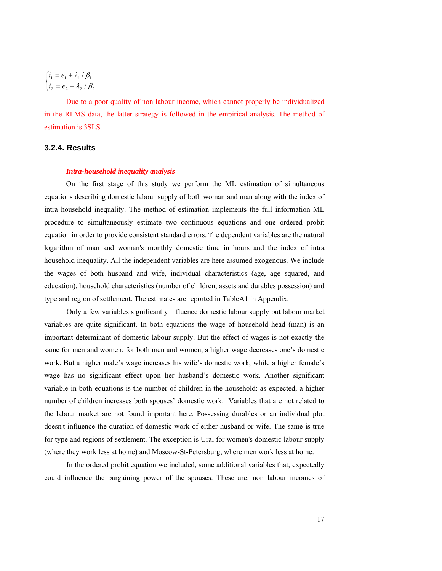$$
\begin{cases} i_1 = e_1 + \lambda_1 / \beta_1 \\ i_2 = e_2 + \lambda_2 / \beta_2 \end{cases}
$$

Due to a poor quality of non labour income, which cannot properly be individualized in the RLMS data, the latter strategy is followed in the empirical analysis. The method of estimation is 3SLS.

## **3.2.4. Results**

#### *Intra-household inequality analysis*

On the first stage of this study we perform the ML estimation of simultaneous equations describing domestic labour supply of both woman and man along with the index of intra household inequality. The method of estimation implements the full information ML procedure to simultaneously estimate two continuous equations and one ordered probit equation in order to provide consistent standard errors. The dependent variables are the natural logarithm of man and woman's monthly domestic time in hours and the index of intra household inequality. All the independent variables are here assumed exogenous. We include the wages of both husband and wife, individual characteristics (age, age squared, and education), household characteristics (number of children, assets and durables possession) and type and region of settlement. The estimates are reported in TableA1 in Appendix.

Only a few variables significantly influence domestic labour supply but labour market variables are quite significant. In both equations the wage of household head (man) is an important determinant of domestic labour supply. But the effect of wages is not exactly the same for men and women: for both men and women, a higher wage decreases one's domestic work. But a higher male's wage increases his wife's domestic work, while a higher female's wage has no significant effect upon her husband's domestic work. Another significant variable in both equations is the number of children in the household: as expected, a higher number of children increases both spouses' domestic work. Variables that are not related to the labour market are not found important here. Possessing durables or an individual plot doesn't influence the duration of domestic work of either husband or wife. The same is true for type and regions of settlement. The exception is Ural for women's domestic labour supply (where they work less at home) and Moscow-St-Petersburg, where men work less at home.

In the ordered probit equation we included, some additional variables that, expectedly could influence the bargaining power of the spouses. These are: non labour incomes of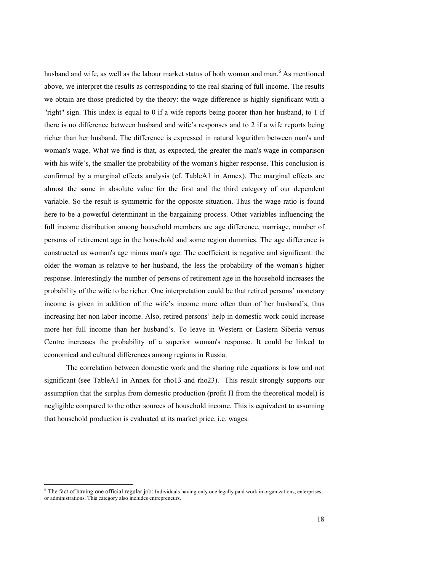husband and wife, as well as the labour market status of both woman and man.<sup>6</sup> As mentioned above, we interpret the results as corresponding to the real sharing of full income. The results we obtain are those predicted by the theory: the wage difference is highly significant with a "right" sign. This index is equal to 0 if a wife reports being poorer than her husband, to 1 if there is no difference between husband and wife's responses and to 2 if a wife reports being richer than her husband. The difference is expressed in natural logarithm between man's and woman's wage. What we find is that, as expected, the greater the man's wage in comparison with his wife's, the smaller the probability of the woman's higher response. This conclusion is confirmed by a marginal effects analysis (cf. TableA1 in Annex). The marginal effects are almost the same in absolute value for the first and the third category of our dependent variable. So the result is symmetric for the opposite situation. Thus the wage ratio is found here to be a powerful determinant in the bargaining process. Other variables influencing the full income distribution among household members are age difference, marriage, number of persons of retirement age in the household and some region dummies. The age difference is constructed as woman's age minus man's age. The coefficient is negative and significant: the older the woman is relative to her husband, the less the probability of the woman's higher response. Interestingly the number of persons of retirement age in the household increases the probability of the wife to be richer. One interpretation could be that retired persons' monetary income is given in addition of the wife's income more often than of her husband's, thus increasing her non labor income. Also, retired persons' help in domestic work could increase more her full income than her husband's. To leave in Western or Eastern Siberia versus Centre increases the probability of a superior woman's response. It could be linked to economical and cultural differences among regions in Russia.

The correlation between domestic work and the sharing rule equations is low and not significant (see TableA1 in Annex for rho13 and rho23). This result strongly supports our assumption that the surplus from domestic production (profit  $\Pi$  from the theoretical model) is negligible compared to the other sources of household income. This is equivalent to assuming that household production is evaluated at its market price, i.e. wages.

The fact of having one official regular job: Individuals having only one legally paid work in organizations, enterprises, or administrations. This category also includes entrepreneurs.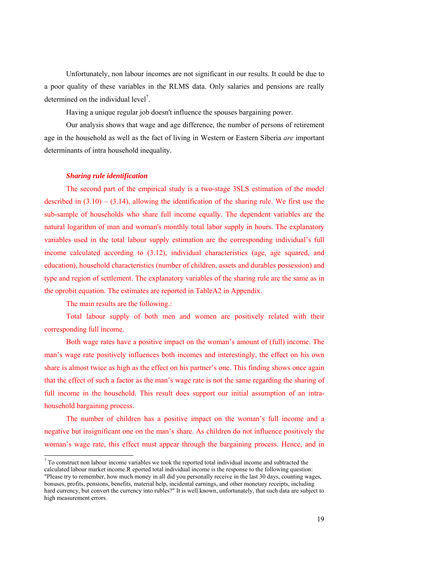Unfortunately, non labour incomes are not significant in our results. It could be due to a poor quality of these variables in the RLMS data. Only salaries and pensions are really determined on the individual level<sup>7</sup>.

Having a unique regular job doesn't influence the spouses bargaining power.

Our analysis shows that wage and age difference, the number of persons of retirement age in the household as well as the fact of living in Western or Eastern Siberia *are* important determinants of intra household inequality.

#### *Sharing rule identification*

The second part of the empirical study is a two-stage 3SLS estimation of the model described in  $(3.10) - (3.14)$ , allowing the identification of the sharing rule. We first use the sub-sample of households who share full income equally. The dependent variables are the natural logarithm of man and woman's monthly total labor supply in hours. The explanatory variables used in the total labour supply estimation are the corresponding individual's full income calculated according to (3.12), individual characteristics (age, age squared, and education), household characteristics (number of children, assets and durables possession) and type and region of settlement. The explanatory variables of the sharing rule are the same as in the oprobit equation. The estimates are reported in TableA2 in Appendix.

The main results are the following.:

<u>.</u>

Total labour supply of both men and women are positively related with their corresponding full income.

Both wage rates have a positive impact on the woman's amount of (full) income. The man's wage rate positively influences both incomes and interestingly, the effect on his own share is almost twice as high as the effect on his partner's one. This finding shows once again that the effect of such a factor as the man's wage rate is not the same regarding the sharing of full income in the household. This result does support our initial assumption of an intrahousehold bargaining process.

The number of children has a positive impact on the woman's full income and a negative but insignificant one on the man's share. As children do not influence positively the woman's wage rate, this effect must appear through the bargaining process. Hence, and in

 $<sup>7</sup>$  To construct non labour income variables we took the reported total individual income and subtracted the</sup> calculated labour market income.R eported total individual income is the response to the following question:

<sup>&</sup>quot;Please try to remember, how much money in all did you personally receive in the last 30 days, counting wages, bonuses, profits, pensions, benefits, material help, incidental earnings, and other monetary receipts, including hard currency, but convert the currency into rubles?" It is well known, unfortunately, that such data are subject to high measurement errors.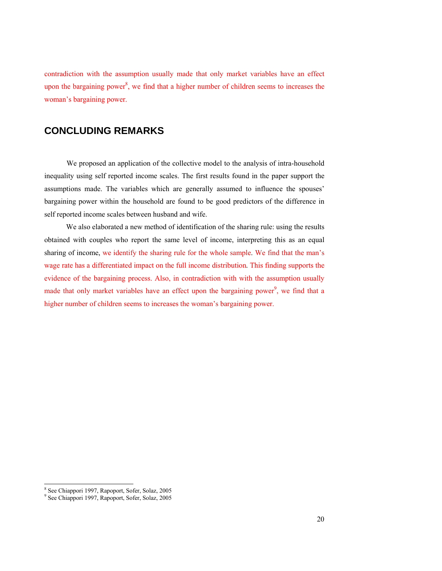contradiction with the assumption usually made that only market variables have an effect upon the bargaining power<sup>8</sup>, we find that a higher number of children seems to increases the woman's bargaining power.

# **CONCLUDING REMARKS**

We proposed an application of the collective model to the analysis of intra-household inequality using self reported income scales. The first results found in the paper support the assumptions made. The variables which are generally assumed to influence the spouses' bargaining power within the household are found to be good predictors of the difference in self reported income scales between husband and wife.

We also elaborated a new method of identification of the sharing rule: using the results obtained with couples who report the same level of income, interpreting this as an equal sharing of income, we identify the sharing rule for the whole sample. We find that the man's wage rate has a differentiated impact on the full income distribution. This finding supports the evidence of the bargaining process. Also, in contradiction with with the assumption usually made that only market variables have an effect upon the bargaining power<sup>9</sup>, we find that a higher number of children seems to increases the woman's bargaining power.

 8 See Chiappori 1997, Rapoport, Sofer, Solaz, 2005

<sup>9</sup> See Chiappori 1997, Rapoport, Sofer, Solaz, 2005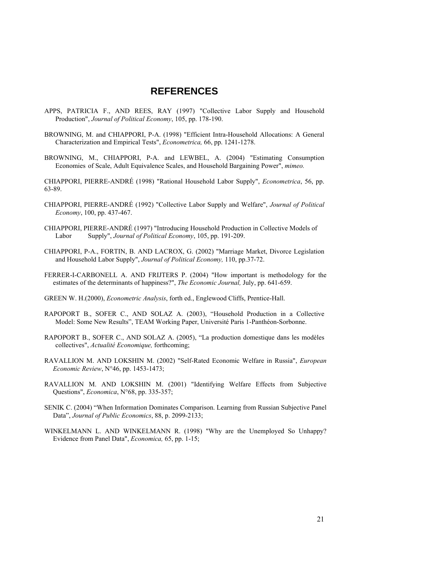## **REFERENCES**

- APPS, PATRICIA F., AND REES, RAY (1997) "Collective Labor Supply and Household Production", *Journal of Political Economy*, 105, pp. 178-190.
- BROWNING, M. and CHIAPPORI, P-A. (1998) "Efficient Intra-Household Allocations: A General Characterization and Empirical Tests", *Econometrica,* 66, pp. 1241-1278.
- BROWNING, M., CHIAPPORI, P-A. and LEWBEL, A. (2004) "Estimating Consumption Economies of Scale, Adult Equivalence Scales, and Household Bargaining Power", *mimeo.*

CHIAPPORI, PIERRE-ANDRÉ (1998) "Rational Household Labor Supply", *Econometrica*, 56, pp. 63-89.

- CHIAPPORI, PIERRE-ANDRÉ (1992) "Collective Labor Supply and Welfare", *Journal of Political Economy*, 100, pp. 437-467.
- CHIAPPORI, PIERRE-ANDRÉ (1997) "Introducing Household Production in Collective Models of Labor Supply", *Journal of Political Economy*, 105, pp. 191-209.
- CHIAPPORI, P-A., FORTIN, B. AND LACROX, G. (2002) "Marriage Market, Divorce Legislation and Household Labor Supply", *Journal of Political Economy,* 110, pp.37-72.
- FERRER-I-CARBONELL A. AND FRIJTERS P. (2004) "How important is methodology for the estimates of the determinants of happiness?", *The Economic Journal,* July, pp. 641-659.
- GREEN W. H.(2000), *Econometric Analysis*, forth ed., Englewood Cliffs, Prentice-Hall.
- RAPOPORT B., SOFER C., AND SOLAZ A. (2003), "Household Production in a Collective Model: Some New Results", TEAM Working Paper, Université Paris 1-Panthéon-Sorbonne.
- RAPOPORT B., SOFER C., AND SOLAZ A. (2005), "La production domestique dans les modèles collectives", *Actualité Economique,* forthcoming;
- RAVALLION M. AND LOKSHIN M. (2002) "Self-Rated Economic Welfare in Russia", *European Economic Review*, N°46, pp. 1453-1473;
- RAVALLION M. AND LOKSHIN M. (2001) "Identifying Welfare Effects from Subjective Questions", *Economica*, N°68, pp. 335-357;
- SENIK C. (2004) "When Information Dominates Comparison. Learning from Russian Subjective Panel Data", *Journal of Public Economics*, 88, p. 2099-2133;
- WINKELMANN L. AND WINKELMANN R. (1998) "Why are the Unemployed So Unhappy? Evidence from Panel Data", *Economica,* 65, pp. 1-15;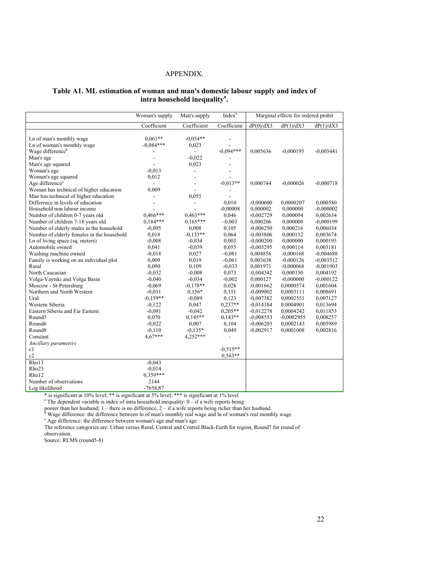### APPENDIX.

## **Table A1. ML estimation of woman and man's domestic labour supply and index of**  intra household inequality<sup>a</sup>.

|                                            | Woman's supply | Man's supply             | Index <sup>a</sup>       |             | Marginal effects for ordered probit |             |
|--------------------------------------------|----------------|--------------------------|--------------------------|-------------|-------------------------------------|-------------|
|                                            | Coefficient    | Coefficient              | Coefficient              | dP(0)/dX3   | dP(1)/dX3                           | dP(1)/dX3   |
|                                            |                |                          |                          |             |                                     |             |
| Ln of man's monthly wage                   | $0.061**$      | $-0.054**$               | $\overline{\phantom{a}}$ |             |                                     |             |
| Ln of woman's monthly wage                 | $-0.084***$    | 0,023                    | $\overline{a}$           |             |                                     |             |
| Wage difference <sup>b</sup>               |                |                          | $-0.094***$              | 0,005636    | $-0,000195$                         | $-0,005441$ |
| Man's age                                  |                | $-0,022$                 |                          |             |                                     |             |
| Man's age squared                          |                | 0,023                    |                          |             |                                     |             |
| Woman's age                                | $-0.013$       |                          | $\overline{\phantom{a}}$ |             |                                     |             |
| Woman's age squared                        | 0,012          |                          |                          |             |                                     |             |
| Age difference <sup>c</sup>                |                | $\overline{a}$           | $-0,013**$               | 0,000744    | $-0,000026$                         | $-0,000718$ |
| Woman has technical of higher education    | 0,009          |                          |                          |             |                                     |             |
| Man has technical of higher education      |                | 0.055                    |                          |             |                                     |             |
| Difference in levels of education          |                | $\overline{\phantom{0}}$ | 0,010                    | $-0,000600$ | 0,0000207                           | 0,000580    |
| Household non labour income                |                |                          | $-0,00008$               | 0,000002    | 0,000000                            | $-0,000002$ |
| Number of children 0-7 years old           | $0,466***$     | $0.463***$               | 0,046                    | $-0,002729$ | 0,000094                            | 0,002634    |
| Number of children 7-18 years old          | $0.184***$     | $0.165***$               | $-0,003$                 | 0,000206    | 0,000000                            | $-0,000199$ |
| Number of elderly males in the household   | $-0.095$       | 0,008                    | 0,105                    | $-0,006250$ | 0,000216                            | 0,006034    |
| Number of elderly females in the household | 0,018          | $-0.133**$               | 0,064                    | $-0,003806$ | 0,000132                            | 0,003674    |
| Ln of living space (sq. meters)            | $-0.008$       | $-0.034$                 | 0,003                    | $-0,000200$ | 0,000000                            | 0.000193    |
| Automobile owned                           | 0,041          | $-0.039$                 | 0,055                    | $-0.003295$ | 0,000114                            | 0,003181    |
| Washing machine owned                      | $-0.018$       | 0,027                    | $-0.081$                 | 0,004856    | $-0,000168$                         | $-0,004688$ |
| Family is working on an individual plot    | 0,009          | 0,019                    | $-0.061$                 | 0,003638    | $-0,000126$                         | $-0.003512$ |
| Rural                                      | 0,090          | 0,109                    | $-0.033$                 | 0,001971    | $-0,000068$                         | $-0,001903$ |
| North Caucasian                            | $-0,032$       | $-0,008$                 | 0,073                    | $-0,004342$ | 0,000150                            | 0,004192    |
| Volga-Vaytski and Volga Basin              | $-0,040$       | $-0.034$                 | $-0,002$                 | 0,000127    | $-0,000000$                         | $-0,000122$ |
| Moscow - St-Petersburg                     | $-0.069$       | $-0.178**$               | 0,028                    | $-0,001662$ | 0,0000574                           | 0,001604    |
| Northern and North Western                 | $-0.031$       | $0,156*$                 | 0,151                    | $-0,009002$ | 0,0003111                           | 0,008691    |
| Ural                                       | $-0,159**$     | $-0.089$                 | 0,123                    | $-0.007382$ | 0.0002551                           | 0,007127    |
| Western Siberia                            | $-0,122$       | 0,047                    | $0,237**$                | $-0,014184$ | 0,0004901                           | 0,013694    |
| Eastern Siberia and Far Eastern            | $-0.091$       | $-0.042$                 | $0.205**$                | $-0.012278$ | 0,0004242                           | 0,011853    |
| Round <sub>5</sub>                         | 0,070          | $0,145**$                | $0.143**$                | $-0,008553$ | $-0,0002955$                        | 0,008257    |
| Round <sub>6</sub>                         | $-0.022$       | 0,007                    | 0,104                    | $-0,006203$ | 0,0002143                           | 0,005989    |
| Round <sub>8</sub>                         | $-0,110$       | $-0.135*$                | 0,049                    | $-0.002917$ | 0,0001008                           | 0,002816    |
| Constant                                   | $4.67***$      | 4,252***                 | $\blacksquare$           |             |                                     |             |
| Ancillary parameters                       |                |                          |                          |             |                                     |             |
| c1                                         |                |                          | $-0.515**$               |             |                                     |             |
| c2                                         |                |                          | $0.563**$                |             |                                     |             |
| Rho13                                      | $-0,043$       |                          |                          |             |                                     |             |
| Rho <sub>23</sub>                          | $-0.014$       |                          |                          |             |                                     |             |
| Rho12                                      | $0.359***$     |                          |                          |             |                                     |             |
| Number of observations                     | 2144           |                          |                          |             |                                     |             |
| Log likelihood                             | $-7658,87$     |                          |                          |             |                                     |             |

\* is significant at 10% level; \*\* is significant at 5% level; \*\*\* is significant at 1% level a The dependent variable is index of intra household inequality: 0 – if a wife reports being

poorer than her husband;  $1$  – there is no difference,  $2$  – if a wife reports being richer than her husband.

Wage difference: the difference between ln of man's monthly real wage and ln of woman's real monthly wage.  $\frac{c}{\sqrt{2}}$ 

Age difference: the difference between woman's age and man's age

The reference categories are: Urban versus Rural, Central and Central Black-Earth for region, Round7 for round of observation.

Source: RLMS (round5-8)